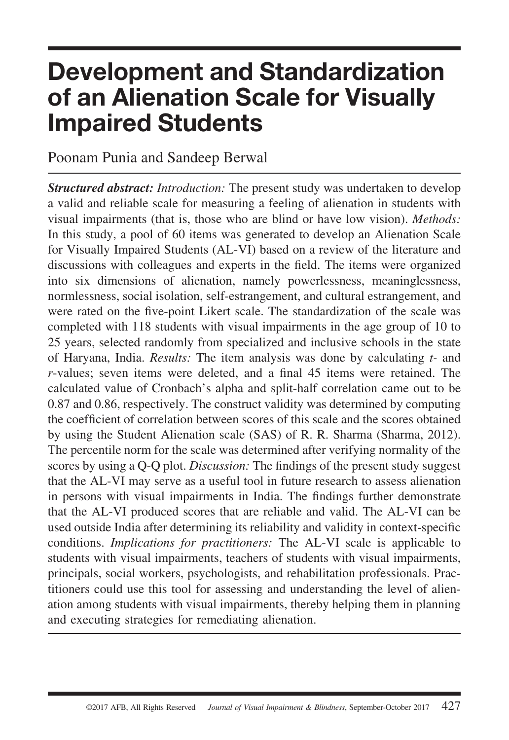# **Development and Standardization of an Alienation Scale for Visually Impaired Students**

Poonam Punia and Sandeep Berwal

*Structured abstract: Introduction:* The present study was undertaken to develop a valid and reliable scale for measuring a feeling of alienation in students with visual impairments (that is, those who are blind or have low vision). *Methods:*  In this study, a pool of 60 items was generated to develop an Alienation Scale for Visually Impaired Students (AL-VI) based on a review of the literature and discussions with colleagues and experts in the field. The items were organized into six dimensions of alienation, namely powerlessness, meaninglessness, normlessness, social isolation, self-estrangement, and cultural estrangement, and were rated on the five-point Likert scale. The standardization of the scale was completed with 118 students with visual impairments in the age group of 10 to 25 years, selected randomly from specialized and inclusive schools in the state of Haryana, India. *Results:* The item analysis was done by calculating *t-* and *r*-values; seven items were deleted, and a final 45 items were retained. The calculated value of Cronbach's alpha and split-half correlation came out to be 0.87 and 0.86, respectively. The construct validity was determined by computing the coefficient of correlation between scores of this scale and the scores obtained by using the Student Alienation scale (SAS) of R. R. Sharma (Sharma, 2012). The percentile norm for the scale was determined after verifying normality of the scores by using a Q-Q plot. *Discussion:* The findings of the present study suggest that the AL-VI may serve as a useful tool in future research to assess alienation in persons with visual impairments in India. The findings further demonstrate that the AL-VI produced scores that are reliable and valid. The AL-VI can be used outside India after determining its reliability and validity in context-specific conditions. *Implications for practitioners:* The AL-VI scale is applicable to students with visual impairments, teachers of students with visual impairments, principals, social workers, psychologists, and rehabilitation professionals. Practitioners could use this tool for assessing and understanding the level of alienation among students with visual impairments, thereby helping them in planning and executing strategies for remediating alienation.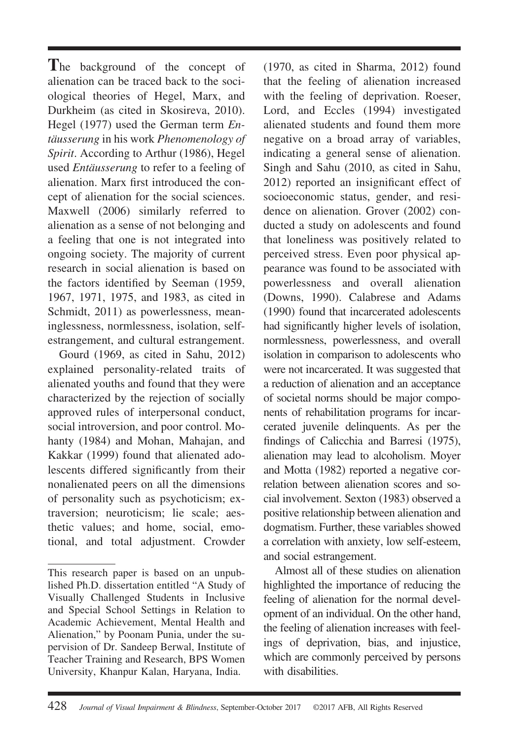**T**he background of the concept of alienation can be traced back to the sociological theories of Hegel, Marx, and Durkheim (as cited in Skosireva, 2010). Hegel (1977) used the German term *Entäusserung* in his work *Phenomenology of Spirit*. According to Arthur (1986), Hegel used *Entäusserung* to refer to a feeling of alienation. Marx first introduced the concept of alienation for the social sciences. Maxwell (2006) similarly referred to alienation as a sense of not belonging and a feeling that one is not integrated into ongoing society. The majority of current research in social alienation is based on the factors identified by Seeman (1959, 1967, 1971, 1975, and 1983, as cited in Schmidt, 2011) as powerlessness, meaninglessness, normlessness, isolation, selfestrangement, and cultural estrangement.

Gourd (1969, as cited in Sahu, 2012) explained personality-related traits of alienated youths and found that they were characterized by the rejection of socially approved rules of interpersonal conduct, social introversion, and poor control. Mohanty (1984) and Mohan, Mahajan, and Kakkar (1999) found that alienated adolescents differed significantly from their nonalienated peers on all the dimensions of personality such as psychoticism; extraversion; neuroticism; lie scale; aesthetic values; and home, social, emotional, and total adjustment. Crowder (1970, as cited in Sharma, 2012) found that the feeling of alienation increased with the feeling of deprivation. Roeser, Lord, and Eccles (1994) investigated alienated students and found them more negative on a broad array of variables, indicating a general sense of alienation. Singh and Sahu (2010, as cited in Sahu, 2012) reported an insignificant effect of socioeconomic status, gender, and residence on alienation. Grover (2002) conducted a study on adolescents and found that loneliness was positively related to perceived stress. Even poor physical appearance was found to be associated with powerlessness and overall alienation (Downs, 1990). Calabrese and Adams (1990) found that incarcerated adolescents had significantly higher levels of isolation, normlessness, powerlessness, and overall isolation in comparison to adolescents who were not incarcerated. It was suggested that a reduction of alienation and an acceptance of societal norms should be major components of rehabilitation programs for incarcerated juvenile delinquents. As per the findings of Calicchia and Barresi (1975), alienation may lead to alcoholism. Moyer and Motta (1982) reported a negative correlation between alienation scores and social involvement. Sexton (1983) observed a positive relationship between alienation and dogmatism. Further, these variables showed a correlation with anxiety, low self-esteem, and social estrangement.

Almost all of these studies on alienation highlighted the importance of reducing the feeling of alienation for the normal development of an individual. On the other hand, the feeling of alienation increases with feelings of deprivation, bias, and injustice, which are commonly perceived by persons with disabilities.

This research paper is based on an unpublished Ph.D. dissertation entitled "A Study of Visually Challenged Students in Inclusive and Special School Settings in Relation to Academic Achievement, Mental Health and Alienation," by Poonam Punia, under the supervision of Dr. Sandeep Berwal, Institute of Teacher Training and Research, BPS Women University, Khanpur Kalan, Haryana, India.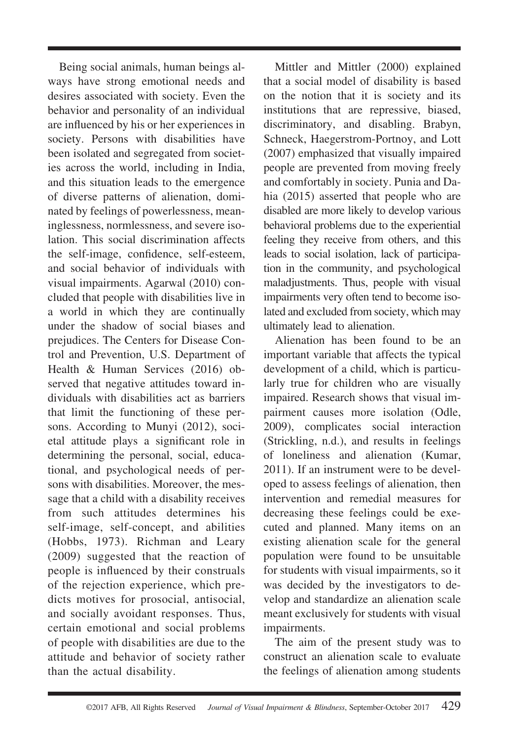Being social animals, human beings always have strong emotional needs and desires associated with society. Even the behavior and personality of an individual are influenced by his or her experiences in society. Persons with disabilities have been isolated and segregated from societies across the world, including in India, and this situation leads to the emergence of diverse patterns of alienation, dominated by feelings of powerlessness, meaninglessness, normlessness, and severe isolation. This social discrimination affects the self-image, confidence, self-esteem, and social behavior of individuals with visual impairments. Agarwal (2010) concluded that people with disabilities live in a world in which they are continually under the shadow of social biases and prejudices. The Centers for Disease Control and Prevention, U.S. Department of Health & Human Services (2016) observed that negative attitudes toward individuals with disabilities act as barriers that limit the functioning of these persons. According to Munyi (2012), societal attitude plays a significant role in determining the personal, social, educational, and psychological needs of persons with disabilities. Moreover, the message that a child with a disability receives from such attitudes determines his self-image, self-concept, and abilities (Hobbs, 1973). Richman and Leary (2009) suggested that the reaction of people is influenced by their construals of the rejection experience, which predicts motives for prosocial, antisocial, and socially avoidant responses. Thus, certain emotional and social problems of people with disabilities are due to the attitude and behavior of society rather than the actual disability.

Mittler and Mittler (2000) explained that a social model of disability is based on the notion that it is society and its institutions that are repressive, biased, discriminatory, and disabling. Brabyn, Schneck, Haegerstrom-Portnoy, and Lott (2007) emphasized that visually impaired people are prevented from moving freely and comfortably in society. Punia and Dahia (2015) asserted that people who are disabled are more likely to develop various behavioral problems due to the experiential feeling they receive from others, and this leads to social isolation, lack of participation in the community, and psychological maladjustments. Thus, people with visual impairments very often tend to become isolated and excluded from society, which may ultimately lead to alienation.

Alienation has been found to be an important variable that affects the typical development of a child, which is particularly true for children who are visually impaired. Research shows that visual impairment causes more isolation (Odle, 2009), complicates social interaction (Strickling, n.d.), and results in feelings of loneliness and alienation (Kumar, 2011). If an instrument were to be developed to assess feelings of alienation, then intervention and remedial measures for decreasing these feelings could be executed and planned. Many items on an existing alienation scale for the general population were found to be unsuitable for students with visual impairments, so it was decided by the investigators to develop and standardize an alienation scale meant exclusively for students with visual impairments.

The aim of the present study was to construct an alienation scale to evaluate the feelings of alienation among students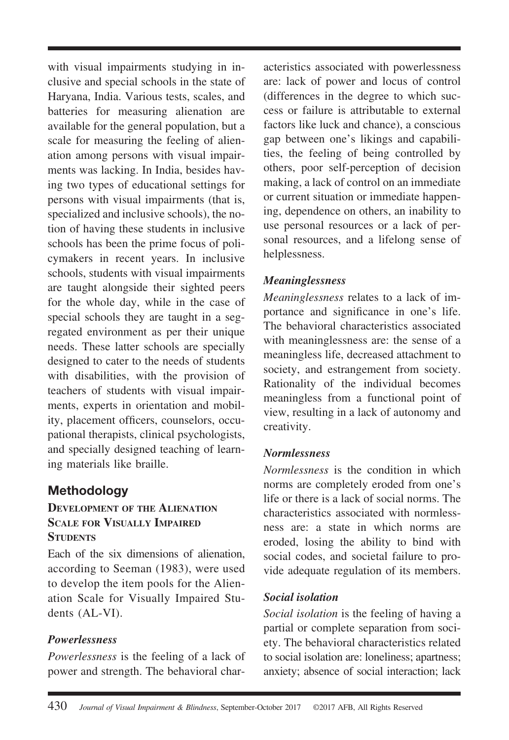with visual impairments studying in inclusive and special schools in the state of Haryana, India. Various tests, scales, and batteries for measuring alienation are available for the general population, but a scale for measuring the feeling of alienation among persons with visual impairments was lacking. In India, besides having two types of educational settings for persons with visual impairments (that is, specialized and inclusive schools), the notion of having these students in inclusive schools has been the prime focus of policymakers in recent years. In inclusive schools, students with visual impairments are taught alongside their sighted peers for the whole day, while in the case of special schools they are taught in a segregated environment as per their unique needs. These latter schools are specially designed to cater to the needs of students with disabilities, with the provision of teachers of students with visual impairments, experts in orientation and mobility, placement officers, counselors, occupational therapists, clinical psychologists, and specially designed teaching of learning materials like braille.

# **Methodology**

#### **DEVELOPMENT OF THE ALIENATION SCALE FOR VISUALLY IMPAIRED STUDENTS**

Each of the six dimensions of alienation, according to Seeman (1983), were used to develop the item pools for the Alienation Scale for Visually Impaired Students (AL-VI).

# *Powerlessness*

*Powerlessness* is the feeling of a lack of power and strength. The behavioral characteristics associated with powerlessness are: lack of power and locus of control (differences in the degree to which success or failure is attributable to external factors like luck and chance), a conscious gap between one's likings and capabilities, the feeling of being controlled by others, poor self-perception of decision making, a lack of control on an immediate or current situation or immediate happening, dependence on others, an inability to use personal resources or a lack of personal resources, and a lifelong sense of helplessness.

### *Meaninglessness*

*Meaninglessness* relates to a lack of importance and significance in one's life. The behavioral characteristics associated with meaninglessness are: the sense of a meaningless life, decreased attachment to society, and estrangement from society. Rationality of the individual becomes meaningless from a functional point of view, resulting in a lack of autonomy and creativity.

### *Normlessness*

*Normlessness* is the condition in which norms are completely eroded from one's life or there is a lack of social norms. The characteristics associated with normlessness are: a state in which norms are eroded, losing the ability to bind with social codes, and societal failure to provide adequate regulation of its members.

### *Social isolation*

*Social isolation* is the feeling of having a partial or complete separation from society. The behavioral characteristics related to social isolation are: loneliness; apartness; anxiety; absence of social interaction; lack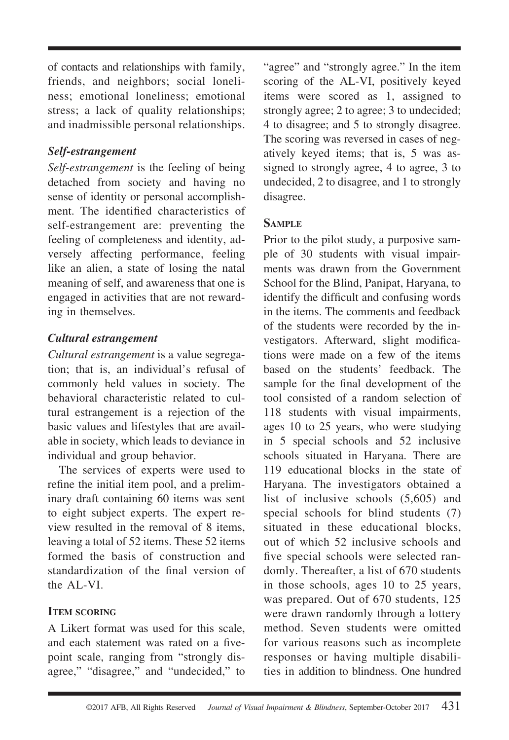of contacts and relationships with family, friends, and neighbors; social loneliness; emotional loneliness; emotional stress; a lack of quality relationships; and inadmissible personal relationships.

# *Self-estrangement*

*Self-estrangement* is the feeling of being detached from society and having no sense of identity or personal accomplishment. The identified characteristics of self-estrangement are: preventing the feeling of completeness and identity, adversely affecting performance, feeling like an alien, a state of losing the natal meaning of self, and awareness that one is engaged in activities that are not rewarding in themselves.

#### *Cultural estrangement*

*Cultural estrangement* is a value segregation; that is, an individual's refusal of commonly held values in society. The behavioral characteristic related to cultural estrangement is a rejection of the basic values and lifestyles that are available in society, which leads to deviance in individual and group behavior.

The services of experts were used to refine the initial item pool, and a preliminary draft containing 60 items was sent to eight subject experts. The expert review resulted in the removal of 8 items, leaving a total of 52 items. These 52 items formed the basis of construction and standardization of the final version of the AL-VI.

### **ITEM SCORING**

A Likert format was used for this scale, and each statement was rated on a fivepoint scale, ranging from "strongly disagree," "disagree," and "undecided," to

"agree" and "strongly agree." In the item scoring of the AL-VI, positively keyed items were scored as 1, assigned to strongly agree; 2 to agree; 3 to undecided; 4 to disagree; and 5 to strongly disagree. The scoring was reversed in cases of negatively keyed items; that is, 5 was assigned to strongly agree, 4 to agree, 3 to undecided, 2 to disagree, and 1 to strongly disagree.

#### **SAMPLE**

Prior to the pilot study, a purposive sample of 30 students with visual impairments was drawn from the Government School for the Blind, Panipat, Haryana, to identify the difficult and confusing words in the items. The comments and feedback of the students were recorded by the investigators. Afterward, slight modifications were made on a few of the items based on the students' feedback. The sample for the final development of the tool consisted of a random selection of 118 students with visual impairments, ages 10 to 25 years, who were studying in 5 special schools and 52 inclusive schools situated in Haryana. There are 119 educational blocks in the state of Haryana. The investigators obtained a list of inclusive schools (5,605) and special schools for blind students (7) situated in these educational blocks. out of which 52 inclusive schools and five special schools were selected randomly. Thereafter, a list of 670 students in those schools, ages 10 to 25 years, was prepared. Out of 670 students, 125 were drawn randomly through a lottery method. Seven students were omitted for various reasons such as incomplete responses or having multiple disabilities in addition to blindness. One hundred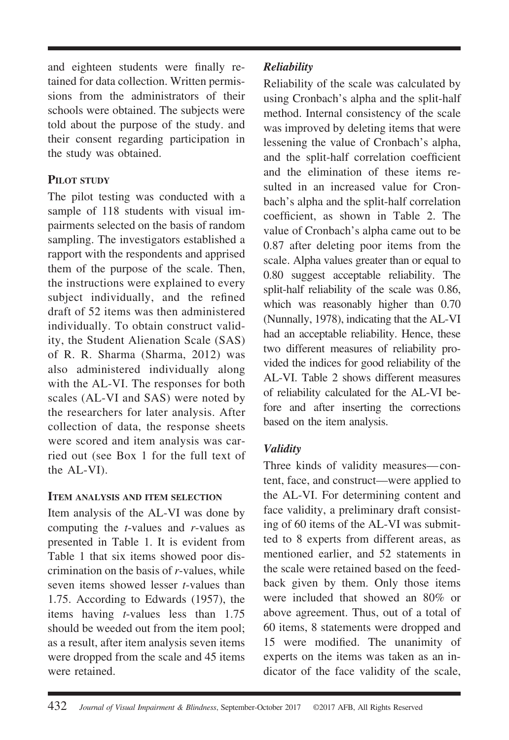and eighteen students were finally retained for data collection. Written permissions from the administrators of their schools were obtained. The subjects were told about the purpose of the study. and their consent regarding participation in the study was obtained.

# **PILOT STUDY**

The pilot testing was conducted with a sample of 118 students with visual impairments selected on the basis of random sampling. The investigators established a rapport with the respondents and apprised them of the purpose of the scale. Then, the instructions were explained to every subject individually, and the refined draft of 52 items was then administered individually. To obtain construct validity, the Student Alienation Scale (SAS) of R. R. Sharma (Sharma, 2012) was also administered individually along with the AL-VI. The responses for both scales (AL-VI and SAS) were noted by the researchers for later analysis. After collection of data, the response sheets were scored and item analysis was carried out (see Box 1 for the full text of the AL-VI).

### **ITEM ANALYSIS AND ITEM SELECTION**

Item analysis of the AL-VI was done by computing the *t*-values and *r*-values as presented in Table 1. It is evident from Table 1 that six items showed poor discrimination on the basis of *r*-values, while seven items showed lesser *t*-values than 1.75. According to Edwards (1957), the items having *t*-values less than 1.75 should be weeded out from the item pool; as a result, after item analysis seven items were dropped from the scale and 45 items were retained.

# *Reliability*

Reliability of the scale was calculated by using Cronbach's alpha and the split-half method. Internal consistency of the scale was improved by deleting items that were lessening the value of Cronbach's alpha, and the split-half correlation coefficient and the elimination of these items resulted in an increased value for Cronbach's alpha and the split-half correlation coefficient, as shown in Table 2. The value of Cronbach's alpha came out to be 0.87 after deleting poor items from the scale. Alpha values greater than or equal to 0.80 suggest acceptable reliability. The split-half reliability of the scale was 0.86, which was reasonably higher than 0.70 (Nunnally, 1978), indicating that the AL-VI had an acceptable reliability. Hence, these two different measures of reliability provided the indices for good reliability of the AL-VI. Table 2 shows different measures of reliability calculated for the AL-VI before and after inserting the corrections based on the item analysis.

# *Validity*

Three kinds of validity measures— content, face, and construct—were applied to the AL-VI. For determining content and face validity, a preliminary draft consisting of 60 items of the AL-VI was submitted to 8 experts from different areas, as mentioned earlier, and 52 statements in the scale were retained based on the feedback given by them. Only those items were included that showed an 80% or above agreement. Thus, out of a total of 60 items, 8 statements were dropped and 15 were modified. The unanimity of experts on the items was taken as an indicator of the face validity of the scale,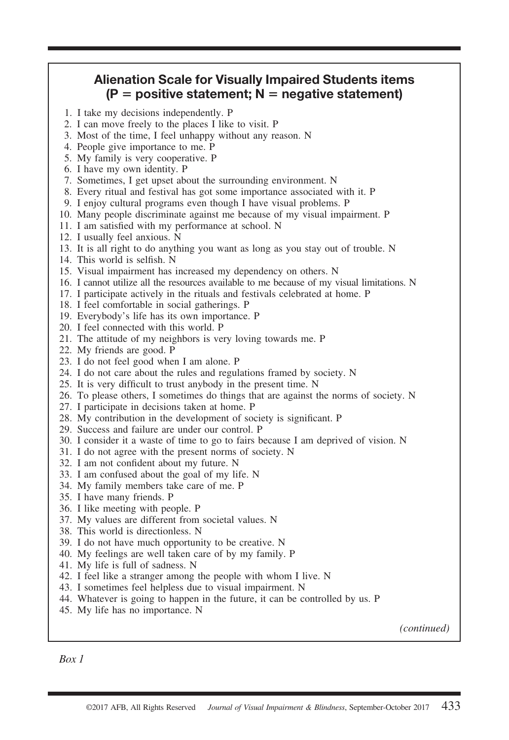# **Alienation Scale for Visually Impaired Students items (P** = **positive statement; N** = **negative statement)**

- 1. I take my decisions independently. P
- 2. I can move freely to the places I like to visit. P
- 3. Most of the time, I feel unhappy without any reason. N
- 4. People give importance to me. P
- 5. My family is very cooperative. P
- 6. I have my own identity. P
- 7. Sometimes, I get upset about the surrounding environment. N
- 8. Every ritual and festival has got some importance associated with it. P
- 9. I enjoy cultural programs even though I have visual problems. P
- 10. Many people discriminate against me because of my visual impairment. P
- 11. I am satisfied with my performance at school. N
- 12. I usually feel anxious. N
- 13. It is all right to do anything you want as long as you stay out of trouble. N
- 14. This world is selfish. N
- 15. Visual impairment has increased my dependency on others. N
- 16. I cannot utilize all the resources available to me because of my visual limitations. N
- 17. I participate actively in the rituals and festivals celebrated at home. P
- 18. I feel comfortable in social gatherings. P
- 19. Everybody's life has its own importance. P
- 20. I feel connected with this world. P
- 21. The attitude of my neighbors is very loving towards me. P
- 22. My friends are good. P
- 23. I do not feel good when I am alone. P
- 24. I do not care about the rules and regulations framed by society. N
- 25. It is very difficult to trust anybody in the present time. N
- 26. To please others, I sometimes do things that are against the norms of society. N
- 27. I participate in decisions taken at home. P
- 28. My contribution in the development of society is significant. P
- 29. Success and failure are under our control. P
- 30. I consider it a waste of time to go to fairs because I am deprived of vision. N
- 31. I do not agree with the present norms of society. N
- 32. I am not confident about my future. N
- 33. I am confused about the goal of my life. N
- 34. My family members take care of me. P
- 35. I have many friends. P
- 36. I like meeting with people. P
- 37. My values are different from societal values. N
- 38. This world is directionless. N
- 39. I do not have much opportunity to be creative. N
- 40. My feelings are well taken care of by my family. P
- 41. My life is full of sadness. N
- 42. I feel like a stranger among the people with whom I live. N
- 43. I sometimes feel helpless due to visual impairment. N
- 44. Whatever is going to happen in the future, it can be controlled by us. P
- 45. My life has no importance. N

*(continued)* 

*Box 1*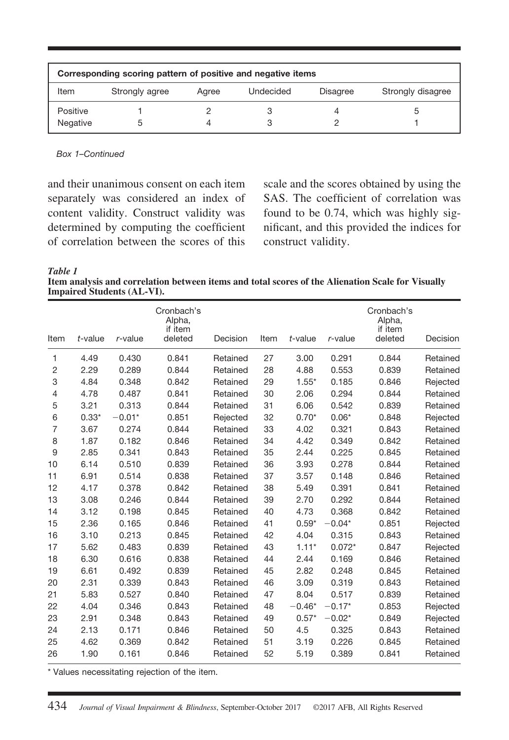| Corresponding scoring pattern of positive and negative items |                |       |           |                 |                   |
|--------------------------------------------------------------|----------------|-------|-----------|-----------------|-------------------|
| Item                                                         | Strongly agree | Aaree | Undecided | <b>Disagree</b> | Strongly disagree |
| Positive                                                     |                |       |           |                 |                   |
| Negative                                                     |                |       |           |                 |                   |

*Box 1–Continued*

and their unanimous consent on each item scale and the scores obtained by using the of correlation between the scores of this construct validity.

separately was considered an index of SAS. The coefficient of correlation was content validity. Construct validity was found to be 0.74, which was highly sigdetermined by computing the coefficient nificant, and this provided the indices for

*Table 1*

**Item analysis and correlation between items and total scores of the Alienation Scale for Visually Impaired Students (AL-VI).**

|      |            |            | Cronbach's<br>Alpha,<br>if item |          |      |            |            | Cronbach's<br>Alpha,<br>if item |          |
|------|------------|------------|---------------------------------|----------|------|------------|------------|---------------------------------|----------|
| Item | $t$ -value | $r$ -value | deleted                         | Decision | Item | $t$ -value | $r$ -value | deleted                         | Decision |
| 1    | 4.49       | 0.430      | 0.841                           | Retained | 27   | 3.00       | 0.291      | 0.844                           | Retained |
| 2    | 2.29       | 0.289      | 0.844                           | Retained | 28   | 4.88       | 0.553      | 0.839                           | Retained |
| 3    | 4.84       | 0.348      | 0.842                           | Retained | 29   | $1.55*$    | 0.185      | 0.846                           | Rejected |
| 4    | 4.78       | 0.487      | 0.841                           | Retained | 30   | 2.06       | 0.294      | 0.844                           | Retained |
| 5    | 3.21       | 0.313      | 0.844                           | Retained | 31   | 6.06       | 0.542      | 0.839                           | Retained |
| 6    | $0.33*$    | $-0.01*$   | 0.851                           | Rejected | 32   | $0.70*$    | $0.06*$    | 0.848                           | Rejected |
| 7    | 3.67       | 0.274      | 0.844                           | Retained | 33   | 4.02       | 0.321      | 0.843                           | Retained |
| 8    | 1.87       | 0.182      | 0.846                           | Retained | 34   | 4.42       | 0.349      | 0.842                           | Retained |
| 9    | 2.85       | 0.341      | 0.843                           | Retained | 35   | 2.44       | 0.225      | 0.845                           | Retained |
| 10   | 6.14       | 0.510      | 0.839                           | Retained | 36   | 3.93       | 0.278      | 0.844                           | Retained |
| 11   | 6.91       | 0.514      | 0.838                           | Retained | 37   | 3.57       | 0.148      | 0.846                           | Retained |
| 12   | 4.17       | 0.378      | 0.842                           | Retained | 38   | 5.49       | 0.391      | 0.841                           | Retained |
| 13   | 3.08       | 0.246      | 0.844                           | Retained | 39   | 2.70       | 0.292      | 0.844                           | Retained |
| 14   | 3.12       | 0.198      | 0.845                           | Retained | 40   | 4.73       | 0.368      | 0.842                           | Retained |
| 15   | 2.36       | 0.165      | 0.846                           | Retained | 41   | $0.59*$    | $-0.04*$   | 0.851                           | Rejected |
| 16   | 3.10       | 0.213      | 0.845                           | Retained | 42   | 4.04       | 0.315      | 0.843                           | Retained |
| 17   | 5.62       | 0.483      | 0.839                           | Retained | 43   | $1.11*$    | $0.072*$   | 0.847                           | Rejected |
| 18   | 6.30       | 0.616      | 0.838                           | Retained | 44   | 2.44       | 0.169      | 0.846                           | Retained |
| 19   | 6.61       | 0.492      | 0.839                           | Retained | 45   | 2.82       | 0.248      | 0.845                           | Retained |
| 20   | 2.31       | 0.339      | 0.843                           | Retained | 46   | 3.09       | 0.319      | 0.843                           | Retained |
| 21   | 5.83       | 0.527      | 0.840                           | Retained | 47   | 8.04       | 0.517      | 0.839                           | Retained |
| 22   | 4.04       | 0.346      | 0.843                           | Retained | 48   | $-0.46*$   | $-0.17*$   | 0.853                           | Rejected |
| 23   | 2.91       | 0.348      | 0.843                           | Retained | 49   | $0.57*$    | $-0.02*$   | 0.849                           | Rejected |
| 24   | 2.13       | 0.171      | 0.846                           | Retained | 50   | 4.5        | 0.325      | 0.843                           | Retained |
| 25   | 4.62       | 0.369      | 0.842                           | Retained | 51   | 3.19       | 0.226      | 0.845                           | Retained |
| 26   | 1.90       | 0.161      | 0.846                           | Retained | 52   | 5.19       | 0.389      | 0.841                           | Retained |

\* Values necessitating rejection of the item.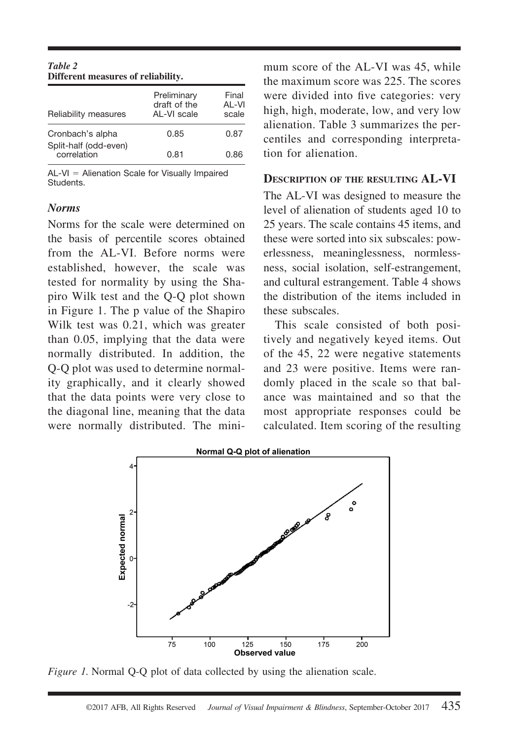| Different measures of reliability.   |                                            |                         |  |  |
|--------------------------------------|--------------------------------------------|-------------------------|--|--|
| Reliability measures                 | Preliminary<br>draft of the<br>AL-VI scale | Final<br>AL-VI<br>scale |  |  |
| Cronbach's alpha                     | 0.85                                       | 0.87                    |  |  |
| Split-half (odd-even)<br>correlation | 0.81                                       | 0.86                    |  |  |

AL-VI = Alienation Scale for Visually Impaired Students.

#### *Norms*

*Table 2*

Norms for the scale were determined on the basis of percentile scores obtained from the AL-VI. Before norms were established, however, the scale was tested for normality by using the Shapiro Wilk test and the Q-Q plot shown in Figure 1. The p value of the Shapiro Wilk test was 0.21, which was greater than 0.05, implying that the data were normally distributed. In addition, the Q-Q plot was used to determine normality graphically, and it clearly showed that the data points were very close to the diagonal line, meaning that the data were normally distributed. The minimum score of the AL-VI was 45, while the maximum score was 225. The scores were divided into five categories: very high, high, moderate, low, and very low alienation. Table 3 summarizes the percentiles and corresponding interpretation for alienation.

#### **DESCRIPTION OF THE RESULTING AL-VI**

The AL-VI was designed to measure the level of alienation of students aged 10 to 25 years. The scale contains 45 items, and these were sorted into six subscales: powerlessness, meaninglessness, normlessness, social isolation, self-estrangement, and cultural estrangement. Table 4 shows the distribution of the items included in these subscales.

This scale consisted of both positively and negatively keyed items. Out of the 45, 22 were negative statements and 23 were positive. Items were randomly placed in the scale so that balance was maintained and so that the most appropriate responses could be calculated. Item scoring of the resulting



*Figure 1.* Normal Q-Q plot of data collected by using the alienation scale.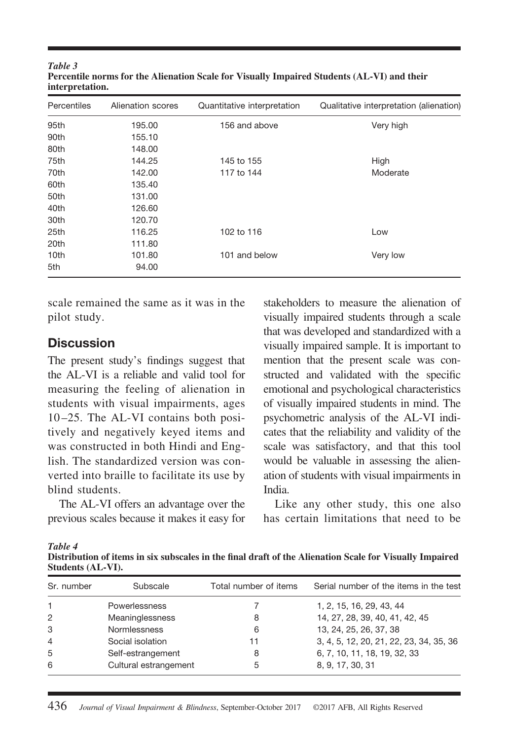| Percentiles<br>Alienation scores |        | Quantitative interpretation | Qualitative interpretation (alienation) |  |  |
|----------------------------------|--------|-----------------------------|-----------------------------------------|--|--|
| 95th                             | 195.00 | 156 and above               | Very high                               |  |  |
| 90th                             | 155.10 |                             |                                         |  |  |
| 80th                             | 148.00 |                             |                                         |  |  |
| 75th                             | 144.25 | 145 to 155                  | High                                    |  |  |
| 70th                             | 142.00 | 117 to 144                  | Moderate                                |  |  |
| 60th                             | 135.40 |                             |                                         |  |  |
| 50th                             | 131.00 |                             |                                         |  |  |
| 40th                             | 126.60 |                             |                                         |  |  |
| 30th                             | 120.70 |                             |                                         |  |  |
| 25th                             | 116.25 | 102 to 116                  | Low                                     |  |  |
| 20th                             | 111.80 |                             |                                         |  |  |
| 10 <sub>th</sub>                 | 101.80 | 101 and below               | Very low                                |  |  |
| 5th                              | 94.00  |                             |                                         |  |  |

*Table 3* **Percentile norms for the Alienation Scale for Visually Impaired Students (AL-VI) and their interpretation.**

scale remained the same as it was in the pilot study.

## **Discussion**

The present study's findings suggest that the AL-VI is a reliable and valid tool for measuring the feeling of alienation in students with visual impairments, ages 10 –25. The AL-VI contains both positively and negatively keyed items and was constructed in both Hindi and English. The standardized version was converted into braille to facilitate its use by blind students.

The AL-VI offers an advantage over the previous scales because it makes it easy for

stakeholders to measure the alienation of visually impaired students through a scale that was developed and standardized with a visually impaired sample. It is important to mention that the present scale was constructed and validated with the specific emotional and psychological characteristics of visually impaired students in mind. The psychometric analysis of the AL-VI indicates that the reliability and validity of the scale was satisfactory, and that this tool would be valuable in assessing the alienation of students with visual impairments in India.

Like any other study, this one also has certain limitations that need to be

*Table 4*

**Distribution of items in six subscales in the final draft of the Alienation Scale for Visually Impaired Students (AL-VI).**

| Sr. number | Subscale              | Total number of items | Serial number of the items in the test  |
|------------|-----------------------|-----------------------|-----------------------------------------|
|            | Powerlessness         |                       | 1, 2, 15, 16, 29, 43, 44                |
| 2          | Meaninglessness       | 8                     | 14, 27, 28, 39, 40, 41, 42, 45          |
| 3          | <b>Normlessness</b>   | 6                     | 13, 24, 25, 26, 37, 38                  |
| 4          | Social isolation      | 11                    | 3, 4, 5, 12, 20, 21, 22, 23, 34, 35, 36 |
| 5          | Self-estrangement     | 8                     | 6, 7, 10, 11, 18, 19, 32, 33            |
| 6          | Cultural estrangement | 5                     | 8, 9, 17, 30, 31                        |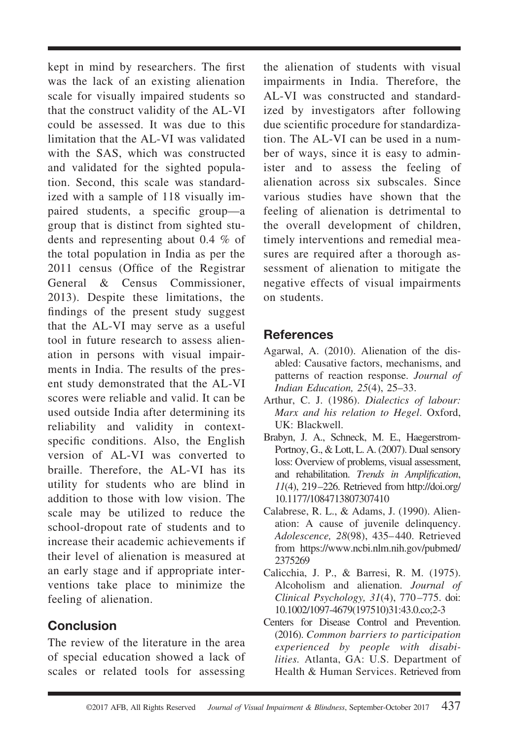kept in mind by researchers. The first was the lack of an existing alienation scale for visually impaired students so that the construct validity of the AL-VI could be assessed. It was due to this limitation that the AL-VI was validated with the SAS, which was constructed and validated for the sighted population. Second, this scale was standardized with a sample of 118 visually impaired students, a specific group—a group that is distinct from sighted students and representing about 0.4 % of the total population in India as per the 2011 census (Office of the Registrar General & Census Commissioner, 2013). Despite these limitations, the findings of the present study suggest that the AL-VI may serve as a useful tool in future research to assess alienation in persons with visual impairments in India. The results of the present study demonstrated that the AL-VI scores were reliable and valid. It can be used outside India after determining its reliability and validity in contextspecific conditions. Also, the English version of AL-VI was converted to braille. Therefore, the AL-VI has its utility for students who are blind in addition to those with low vision. The scale may be utilized to reduce the school-dropout rate of students and to increase their academic achievements if their level of alienation is measured at an early stage and if appropriate interventions take place to minimize the feeling of alienation.

# **Conclusion**

The review of the literature in the area of special education showed a lack of scales or related tools for assessing

the alienation of students with visual impairments in India. Therefore, the AL-VI was constructed and standardized by investigators after following due scientific procedure for standardization. The AL-VI can be used in a number of ways, since it is easy to administer and to assess the feeling of alienation across six subscales. Since various studies have shown that the feeling of alienation is detrimental to the overall development of children, timely interventions and remedial measures are required after a thorough assessment of alienation to mitigate the negative effects of visual impairments on students.

# **References**

- Agarwal, A. (2010). Alienation of the disabled: Causative factors, mechanisms, and patterns of reaction response. *Journal of Indian Education, 25*(4), 25–33.
- Arthur, C. J. (1986). *Dialectics of labour: Marx and his relation to Hegel*. Oxford, UK: Blackwell.
- Brabyn, J. A., Schneck, M. E., Haegerstrom-Portnoy, G., & Lott, L. A. (2007). Dual sensory loss: Overview of problems, visual assessment, and rehabilitation. *Trends in Amplification*, *11*(4), 219–226. Retrieved from [http://doi.org/](http://doi.org/10.1177/1084713807307410) [10.1177/1084713807307410](http://doi.org/10.1177/1084713807307410)
- Calabrese, R. L., & Adams, J. (1990). Alienation: A cause of juvenile delinquency. *Adolescence, 28*(98), 435– 440. Retrieved from [https://www.ncbi.nlm.nih.gov/pubmed/](https://www.ncbi.nlm.nih.gov/pubmed/2375269) [2375269](https://www.ncbi.nlm.nih.gov/pubmed/2375269)
- Calicchia, J. P., & Barresi, R. M. (1975). Alcoholism and alienation. *Journal of Clinical Psychology, 31*(4), 770 –775. doi: 10.1002/1097-4679(197510)31:43.0.co;2-3
- Centers for Disease Control and Prevention. (2016). *Common barriers to participation experienced by people with disabilities.* Atlanta, GA: U.S. Department of Health & Human Services. Retrieved from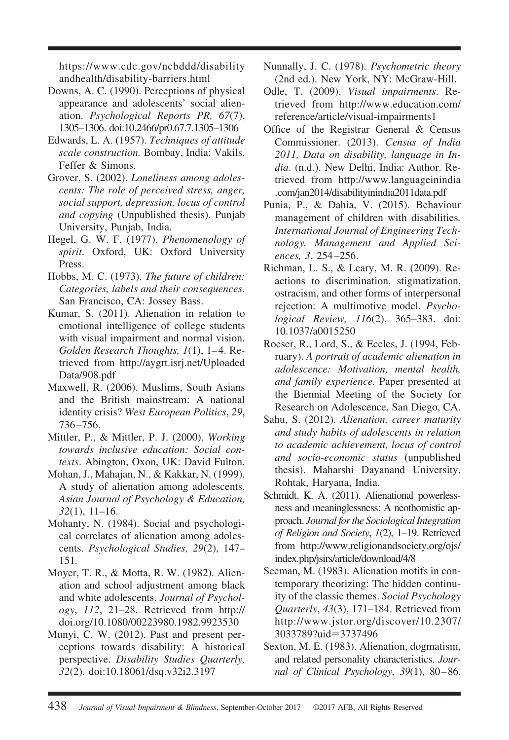[https://www.cdc.gov/ncbddd/disability](https://www.cdc.gov/ncbddd/disabilityandhealth/disability-barriers.html) [andhealth/disability-barriers.html](https://www.cdc.gov/ncbddd/disabilityandhealth/disability-barriers.html)

- Downs, A. C. (1990). Perceptions of physical appearance and adolescents' social alienation. *Psychological Reports PR, 67*(7), 1305–1306. doi:10.2466/pr0.67.7.1305–1306
- Edwards, L. A. (1957). *Techniques of attitude scale construction.* Bombay, India: Vakils, Feffer & Simons.
- Grover, S. (2002). *Loneliness among adolescents: The role of perceived stress, anger, social support, depression, locus of control and copying* (Unpublished thesis). Punjab University, Punjab, India.
- Hegel, G. W. F. (1977). *Phenomenology of spirit*. Oxford, UK: Oxford University Press.
- Hobbs, M. C. (1973). *The future of children: Categories, labels and their consequences*. San Francisco, CA: Jossey Bass.
- Kumar, S. (2011). Alienation in relation to emotional intelligence of college students with visual impairment and normal vision. *Golden Research Thoughts, 1*(1), 1–4. Retrieved from [http://aygrt.isrj.net/Uploaded](http://aygrt.isrj.net/UploadedData/908.pdf) [Data/908.pdf](http://aygrt.isrj.net/UploadedData/908.pdf)
- Maxwell, R. (2006). Muslims, South Asians and the British mainstream: A national identity crisis? *West European Politics*, *29*, 736–756.
- Mittler, P., & Mittler, P. J. (2000). *Working towards inclusive education: Social contexts*. Abington, Oxon, UK: David Fulton.
- Mohan, J., Mahajan, N., & Kakkar, N. (1999). A study of alienation among adolescents. *Asian Journal of Psychology & Education, 32*(1), 11–16.
- Mohanty, N. (1984). Social and psychological correlates of alienation among adolescents. *Psychological Studies, 29*(2), 147– 151*.*
- Moyer, T. R., & Motta, R. W. (1982). Alienation and school adjustment among black and white adolescents. *Journal of Psychology*, *112*, 21–28. Retrieved from [http://](http://doi.org/10.1080/00223980.1982.9923530) [doi.org/10.1080/00223980.1982.9923530](http://doi.org/10.1080/00223980.1982.9923530)
- Munyi, C. W. (2012). Past and present perceptions towards disability: A historical perspective. *Disability Studies Quarterly, 32*(2). doi:10.18061/dsq.v32i2.3197
- Nunnally, J. C. (1978). *Psychometric theory*  (2nd ed.). New York, NY: McGraw-Hill.
- Odle, T. (2009). *Visual impairments*. Retrieved from [http://www.education.com/](http://www.education.com/reference/article/visual-impairments1) [reference/article/visual-impairments1](http://www.education.com/reference/article/visual-impairments1)
- Office of the Registrar General & Census Commissioner. (2013). *Census of India 2011, Data on disability, language in India*. (n.d.). New Delhi, India: Author. Retrieved from [http://www.languageinindia](http://www.languageinindia.com/jan2014/disabilityinindia2011data.pdf) [.com/jan2014/disabilityinindia2011data.pdf](http://www.languageinindia.com/jan2014/disabilityinindia2011data.pdf)
- Punia, P., & Dahia, V. (2015). Behaviour management of children with disabilities*. International Journal of Engineering Technology, Management and Applied Sciences, 3*, 254–256.
- Richman, L. S., & Leary, M. R. (2009). Reactions to discrimination, stigmatization, ostracism, and other forms of interpersonal rejection: A multimotive model. *Psychological Review, 116*(2), 365–383. doi: 10.1037/a0015250
- Roeser, R., Lord, S., & Eccles, J. (1994, February). *A portrait of academic alienation in adolescence: Motivation, mental health, and family experience.* Paper presented at the Biennial Meeting of the Society for Research on Adolescence, San Diego, CA.
- Sahu, S. (2012). *Alienation, career maturity and study habits of adolescents in relation to academic achievement, locus of control and socio-economic status* (unpublished thesis). Maharshi Dayanand University, Rohtak, Haryana, India.
- Schmidt, K. A. (2011). Alienational powerlessness and meaninglessness: A neothomistic approach. *Journal for the Sociological Integration of Religion and Society*, *1*(2), 1–19. Retrieved from [http://www.religionandsociety.org/ojs/](http://www.religionandsociety.org/ojs/index.php/jsirs/article/download/4/8) [index.php/jsirs/article/download/4/8](http://www.religionandsociety.org/ojs/index.php/jsirs/article/download/4/8)
- Seeman, M. (1983). Alienation motifs in contemporary theorizing: The hidden continuity of the classic themes. *Social Psychology Quarterly*, *43*(3), 171–184. Retrieved from [http://www.jstor.org/discover/10.2307/](http://www.jstor.org/discover/10.2307/3033789?uid=3737496) [3033789?uid](http://www.jstor.org/discover/10.2307/3033789?uid=3737496)=3737496
- Sexton, M. E. (1983). Alienation, dogmatism, and related personality characteristics. *Journal of Clinical Psychology*, *39*(1), 80 – 86.